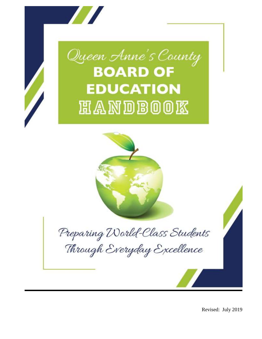

Revised: July 2019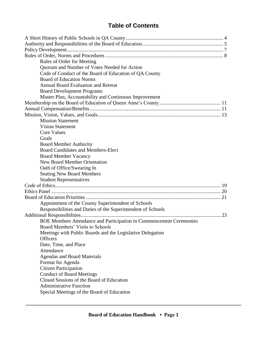# **Table of Contents**

| Rules of Order for Meeting                                                 |  |
|----------------------------------------------------------------------------|--|
| Quorum and Number of Votes Needed for Action                               |  |
| Code of Conduct of the Board of Education of QA County                     |  |
| <b>Board of Education Norms</b>                                            |  |
| Annual Board Evaluation and Retreat                                        |  |
| <b>Board Development Programs</b>                                          |  |
| Master Plan, Accountability and Continuous Improvement                     |  |
|                                                                            |  |
|                                                                            |  |
|                                                                            |  |
| <b>Mission Statement</b>                                                   |  |
| <b>Vision Statement</b>                                                    |  |
| <b>Core Values</b>                                                         |  |
| Goals                                                                      |  |
|                                                                            |  |
| <b>Board Member Authority</b><br><b>Board Candidates and Members-Elect</b> |  |
|                                                                            |  |
| <b>Board Member Vacancy</b>                                                |  |
| <b>New Board Member Orientation</b>                                        |  |
| Oath of Office/Swearing In                                                 |  |
| <b>Seating New Board Members</b>                                           |  |
| <b>Student Representatives</b>                                             |  |
|                                                                            |  |
|                                                                            |  |
|                                                                            |  |
| Appointment of the County Superintendent of Schools                        |  |
| Responsibilities and Duties of the Superintendent of Schools               |  |
|                                                                            |  |
| BOE Members Attendance and Participation in Commencement Ceremonies        |  |
| Board Members' Visits to Schools                                           |  |
| Meetings with Public Boards and the Legislative Delegation                 |  |
| <b>Officers</b>                                                            |  |
| Date, Time, and Place                                                      |  |
| Attendance                                                                 |  |
| <b>Agendas and Board Materials</b>                                         |  |
| Format for Agenda                                                          |  |
| <b>Citizen Participation</b>                                               |  |
| <b>Conduct of Board Meetings</b>                                           |  |
| Closed Sessions of the Board of Education                                  |  |
| <b>Administrative Function</b>                                             |  |
| Special Meetings of the Board of Education                                 |  |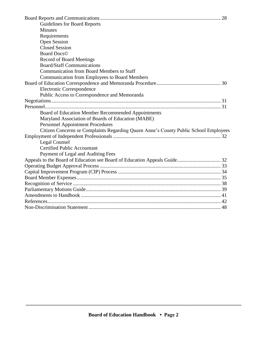|                                                                                      | 28 |
|--------------------------------------------------------------------------------------|----|
| <b>Guidelines for Board Reports</b>                                                  |    |
| <b>Minutes</b>                                                                       |    |
| Requirements                                                                         |    |
| <b>Open Session</b>                                                                  |    |
| <b>Closed Session</b>                                                                |    |
| <b>Board Docs</b> <sup>©</sup>                                                       |    |
| <b>Record of Board Meetings</b>                                                      |    |
| <b>Board/Staff Communications</b>                                                    |    |
| <b>Communication from Board Members to Staff</b>                                     |    |
| <b>Communication from Employees to Board Members</b>                                 |    |
|                                                                                      |    |
| Electronic Correspondence                                                            |    |
| Public Access to Correspondence and Memoranda                                        |    |
|                                                                                      |    |
|                                                                                      |    |
| Board of Education Member Recommended Appointments                                   |    |
| Maryland Association of Boards of Education (MABE)                                   |    |
| <b>Personnel Appointment Procedures</b>                                              |    |
| Citizen Concerns or Complaints Regarding Queen Anne's County Public School Employees |    |
|                                                                                      |    |
| Legal Counsel                                                                        |    |
| <b>Certified Public Accountant</b>                                                   |    |
| Payment of Legal and Auditing Fees                                                   |    |
|                                                                                      |    |
|                                                                                      |    |
|                                                                                      |    |
|                                                                                      |    |
|                                                                                      |    |
|                                                                                      |    |
|                                                                                      |    |
|                                                                                      |    |
|                                                                                      |    |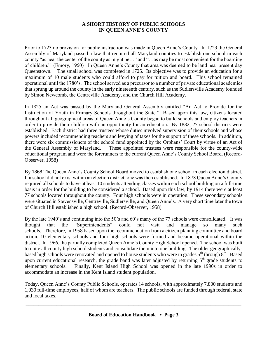#### **A SHORT HISTORY OF PUBLIC SCHOOLS IN QUEEN ANNE'S COUNTY**

Prior to 1723 no provision for public instruction was made in Queen Anne's County. In 1723 the General Assembly of Maryland passed a law that required all Maryland counties to establish one school in each county "as near the center of the county as might be…" and "…as may be most convenient for the boarding of children." (Emory, 1950) In Queen Anne's County that area was deemed to be land near present day Queenstown. The small school was completed in 1725. Its objective was to provide an education for a maximum of 10 male students who could afford to pay for tuition and board. This school remained operational until the 1780's. The school served as a precursor to a number of private educational academies that sprung up around the county in the early nineteenth century, such as the Sudlersville Academy founded by Simon Newcomb, the Centreville Academy, and the Church Hill Academy.

In 1825 an Act was passed by the Maryland General Assembly entitled "An Act to Provide for the Instruction of Youth in Primary Schools throughout the State." Based upon this law, citizens located throughout all geographical areas of Queen Anne's County began to build schools and employ teachers in order to provide their children with an opportunity for an education. By 1832, 27 school districts were established. Each district had three trustees whose duties involved supervision of their schools and whose powers included recommending teachers and levying of taxes for the support of these schools. In addition, there were six commissioners of the school fund appointed by the Orphans' Court by virtue of an Act of the General Assembly of Maryland. These appointed trustees were responsible for the county-wide educational program and were the forerunners to the current Queen Anne's County School Board. (Record-Observer, 1958)

By 1868 The Queen Anne's County School Board moved to establish one school in each election district. If a school did not exist within an election district, one was then established. In 1878 Queen Anne's County required all schools to have at least 10 students attending classes within each school building on a full-time basis in order for the building to be considered a school. Based upon this law, by 1914 there were at least 77 schools located throughout the county. Four high schools were in operation. These secondary schools were situated in Stevensville, Centreville, Sudlersville, and Queen Anne's. A very short time later the town of Church Hill established a high school. (Record-Observer, 1958)

By the late 1940's and continuing into the 50's and 60's many of the 77 schools were consolidated. It was thought that the "Superintendents" could not visit and manage so many such schools. Therefore, in 1958 based upon the recommendation from a citizen planning committee and board action, 10 elementary schools and four high schools were formed and became operational within the district. In 1966, the partially completed Queen Anne's County High School opened. The school was built to unite all county high school students and consolidate them into one building. The older geographicallybased high schools were renovated and opened to house students who were in grades 5<sup>th</sup> through 8<sup>th</sup>. Based upon current educational research, the grade band was later adjusted by returning  $5<sup>th</sup>$  grade students to elementary schools. Finally, Kent Island High School was opened in the late 1990s in order to accommodate an increase in the Kent Island student population.

Today, Queen Anne's County Public Schools, operates 14 schools, with approximately 7,800 students and 1,030 full-time employees, half of whom are teachers. The public schools are funded through federal, state and local taxes.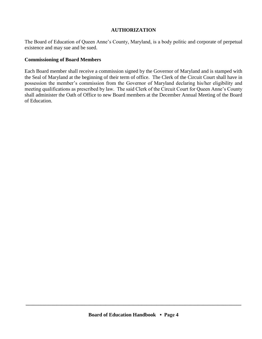#### **AUTHORIZATION**

The Board of Education of Queen Anne's County, Maryland, is a body politic and corporate of perpetual existence and may sue and be sued.

#### **Commissioning of Board Members**

Each Board member shall receive a commission signed by the Governor of Maryland and is stamped with the Seal of Maryland at the beginning of their term of office. The Clerk of the Circuit Court shall have in possession the member's commission from the Governor of Maryland declaring his/her eligibility and meeting qualifications as prescribed by law. The said Clerk of the Circuit Court for Queen Anne's County shall administer the Oath of Office to new Board members at the December Annual Meeting of the Board of Education.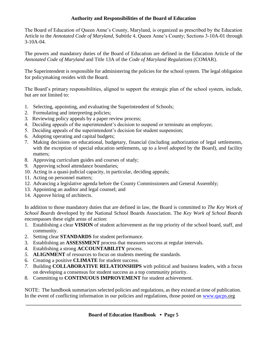## **Authority and Responsibilities of the Board of Education**

The Board of Education of Queen Anne's County, Maryland, is organized as prescribed by the Education Article to the *Annotated Code of Maryland,* Subtitle 4, Queen Anne's County; Sections 3-10A-01 through 3-10A-04.

The powers and mandatory duties of the Board of Education are defined in the Education Article of the *Annotated Code of Maryland* and Title 13A of the *Code of Maryland Regulations* (COMAR).

The Superintendent is responsible for administering the policies for the school system. The legal obligation for policymaking resides with the Board.

The Board's primary responsibilities, aligned to support the strategic plan of the school system, include, but are not limited to:

- 1. Selecting, appointing, and evaluating the Superintendent of Schools;
- 2. Formulating and interpreting policies;
- 3. Reviewing policy appeals by a paper review process;
- 4. Deciding appeals of the superintendent's decision to suspend or terminate an employee;
- 5. Deciding appeals of the superintendent's decision for student suspension;
- 6. Adopting operating and capital budgets;
- 7. Making decisions on educational, budgetary, financial (including authorization of legal settlements, with the exception of special education settlements, up to a level adopted by the Board), and facility matters;
- 8. Approving curriculum guides and courses of study;
- 9. Approving school attendance boundaries;
- 10. Acting in a quasi-judicial capacity, in particular, deciding appeals;
- 11. Acting on personnel matters;
- 12. Advancing a legislative agenda before the County Commissioners and General Assembly;
- 13. Appointing an auditor and legal counsel; and
- 14. Approve hiring of architects.

In addition to those mandatory duties that are defined in law, the Board is committed to *The Key Work of School Boards* developed by the National School Boards Association. The *Key Work of School Boards*  encompasses these eight areas of action:

- 1. Establishing a clear **VISION** of student achievement as the top priority of the school board, staff, and community.
- 2. Setting clear **STANDARDS** for student performance.
- 3. Establishing an **ASSESSMENT** process that measures success at regular intervals.
- 4. Establishing a strong **ACCOUNTABILITY** process.
- *5.* **ALIGNMENT** of resources to focus on students meeting the standards.
- 6. Creating a positive **CLIMATE** for student success.
- *7.* Building **COLLABORATIVE RELATIONSHIPS** with political and business leaders, with a focus on developing a consensus for student success as a top community priority.
- 8. Committing to **CONTINUOUS IMPROVEMENT** for student achievement.

NOTE: The handbook summarizes selected policies and regulations, as they existed at time of publication. In the event of conflicting information in our policies and regulations, those posted on [www.qacps.](http://www.qacps/)org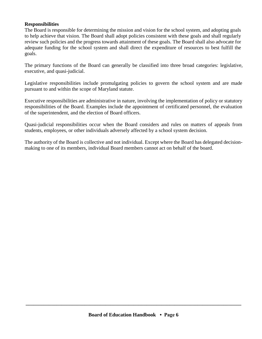#### **Responsibilities**

The Board is responsible for determining the mission and vision for the school system, and adopting goals to help achieve that vision. The Board shall adopt policies consistent with these goals and shall regularly review such policies and the progress towards attainment of these goals. The Board shall also advocate for adequate funding for the school system and shall direct the expenditure of resources to best fulfill the goals.

The primary functions of the Board can generally be classified into three broad categories: legislative, executive, and quasi-judicial.

Legislative responsibilities include promulgating policies to govern the school system and are made pursuant to and within the scope of Maryland statute.

Executive responsibilities are administrative in nature, involving the implementation of policy or statutory responsibilities of the Board. Examples include the appointment of certificated personnel, the evaluation of the superintendent, and the election of Board officers.

Quasi-judicial responsibilities occur when the Board considers and rules on matters of appeals from students, employees, or other individuals adversely affected by a school system decision.

The authority of the Board is collective and not individual. Except where the Board has delegated decisionmaking to one of its members, individual Board members cannot act on behalf of the board.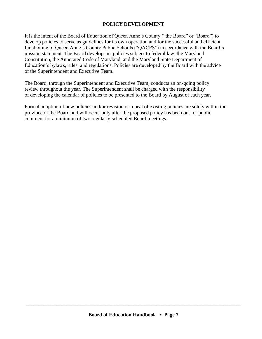#### **POLICY DEVELOPMENT**

It is the intent of the Board of Education of Queen Anne's County ("the Board" or "Board") to develop policies to serve as guidelines for its own operation and for the successful and efficient functioning of Queen Anne's County Public Schools ("QACPS") in accordance with the Board's mission statement. The Board develops its policies subject to federal law, the Maryland Constitution, the Annotated Code of Maryland, and the Maryland State Department of Education's bylaws, rules, and regulations. Policies are developed by the Board with the advice of the Superintendent and Executive Team.

The Board, through the Superintendent and Executive Team, conducts an on-going policy review throughout the year. The Superintendent shall be charged with the responsibility of developing the calendar of policies to be presented to the Board by August of each year.

Formal adoption of new policies and/or revision or repeal of existing policies are solely within the province of the Board and will occur only after the proposed policy has been out for public comment for a minimum of two regularly-scheduled Board meetings.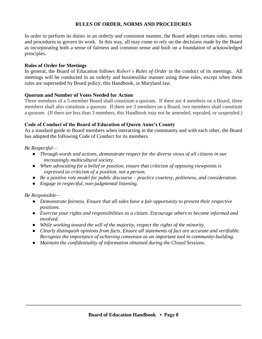#### **RULES OF ORDER, NORMS AND PROCEDURES**

In order to perform its duties in an orderly and consistent manner, the Board adopts certain rules, norms and procedures to govern its work. In this way, all may come to rely on the decisions made by the Board as incorporating both a sense of fairness and common sense and built on a foundation of acknowledged principles.

#### **Rules of Order for Meetings**

In general, the Board of Education follows *Robert's Rules of Order* in the conduct of its meetings. All meetings will be conducted in an orderly and businesslike manner using these rules, except when these rules are superseded by Board policy, this Handbook, or Maryland law.

#### **Quorum and Number of Votes Needed for Action**

Three members of a 5-member Board shall constitute a quorum. If there are 4 members on a Board, three members shall also constitute a quorum. If there are 3 members on a Board, two members shall constitute a quorum. (If there are less than 3 members, this Handbook may not be amended, repealed, or suspended.)

#### **Code of Conduct of the Board of Education of Queen Anne's County**

As a standard guide to Board members when interacting in the community and with each other, the Board has adopted the following Code of Conduct for its members.

#### *Be Respectful—*

- *Through words and actions, demonstrate respect for the diverse views of all citizens in our increasingly multicultural society.*
- *When advocating for a belief or position, ensure that criticism of opposing viewpoints is expressed as criticism of a position, not a person.*
- *Be a positive role model for public discourse – practice courtesy, politeness, and consideration.*
- *Engage in respectful, non-judgmental listening.*

#### *Be Responsible—*

- *Demonstrate fairness. Ensure that all sides have a fair opportunity to present their respective positions.*
- *Exercise your rights and responsibilities as a citizen. Encourage others to become informed and involved.*
- *While working toward the will of the majority, respect the rights of the minority.*
- *Clearly distinguish opinions from facts. Ensure all statements of fact are accurate and verifiable. Recognize the importance of achieving consensus as an important tool in community-building.*
- *Maintain the confidentiality of information obtained during the Closed Sessions.*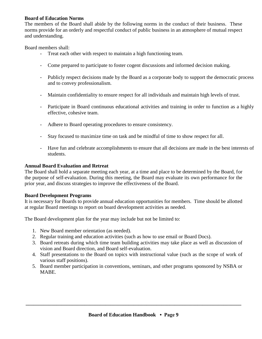#### **Board of Education Norms**

The members of the Board shall abide by the following norms in the conduct of their business. These norms provide for an orderly and respectful conduct of public business in an atmosphere of mutual respect and understanding.

Board members shall:

- Treat each other with respect to maintain a high functioning team.
- Come prepared to participate to foster cogent discussions and informed decision making.
- Publicly respect decisions made by the Board as a corporate body to support the democratic process and to convey professionalism.
- Maintain confidentiality to ensure respect for all individuals and maintain high levels of trust.
- Participate in Board continuous educational activities and training in order to function as a highly effective, cohesive team.
- Adhere to Board operating procedures to ensure consistency.
- Stay focused to maximize time on task and be mindful of time to show respect for all.
- Have fun and celebrate accomplishments to ensure that all decisions are made in the best interests of students.

#### **Annual Board Evaluation and Retreat**

The Board shall hold a separate meeting each year, at a time and place to be determined by the Board, for the purpose of self-evaluation. During this meeting, the Board may evaluate its own performance for the prior year, and discuss strategies to improve the effectiveness of the Board.

#### **Board Development Programs**

It is necessary for Boards to provide annual education opportunities for members. Time should be allotted at regular Board meetings to report on board development activities as needed.

The Board development plan for the year may include but not be limited to:

- 1. New Board member orientation (as needed).
- 2. Regular training and education activities (such as how to use email or Board Docs).
- 3. Board retreats during which time team building activities may take place as well as discussion of vision and Board direction, and Board self-evaluation.
- 4. Staff presentations to the Board on topics with instructional value (such as the scope of work of various staff positions).
- 5. Board member participation in conventions, seminars, and other programs sponsored by NSBA or MABE.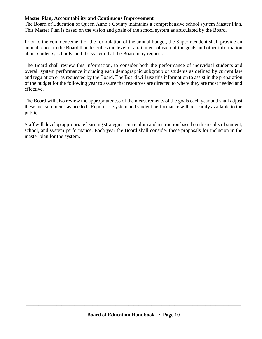#### **Master Plan, Accountability and Continuous Improvement**

The Board of Education of Queen Anne's County maintains a comprehensive school system Master Plan. This Master Plan is based on the vision and goals of the school system as articulated by the Board.

Prior to the commencement of the formulation of the annual budget, the Superintendent shall provide an annual report to the Board that describes the level of attainment of each of the goals and other information about students, schools, and the system that the Board may request.

The Board shall review this information, to consider both the performance of individual students and overall system performance including each demographic subgroup of students as defined by current law and regulation or as requested by the Board. The Board will use this information to assist in the preparation of the budget for the following year to assure that resources are directed to where they are most needed and effective.

The Board will also review the appropriateness of the measurements of the goals each year and shall adjust these measurements as needed. Reports of system and student performance will be readily available to the public.

Staff will develop appropriate learning strategies, curriculum and instruction based on the results of student, school, and system performance. Each year the Board shall consider these proposals for inclusion in the master plan for the system.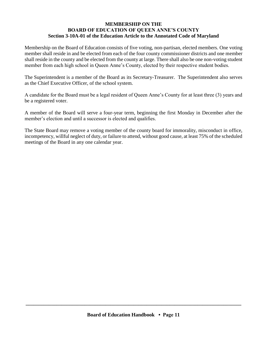#### **MEMBERSHIP ON THE BOARD OF EDUCATION OF QUEEN ANNE'S COUNTY Section 3-10A-01 of the Education Article to the Annotated Code of Maryland**

Membership on the Board of Education consists of five voting, non-partisan, elected members. One voting member shall reside in and be elected from each of the four county commissioner districts and one member shall reside in the county and be elected from the county at large. There shall also be one non-voting student member from each high school in Queen Anne's County, elected by their respective student bodies.

The Superintendent is a member of the Board as its Secretary-Treasurer. The Superintendent also serves as the Chief Executive Officer, of the school system.

A candidate for the Board must be a legal resident of Queen Anne's County for at least three (3) years and be a registered voter.

A member of the Board will serve a four-year term, beginning the first Monday in December after the member's election and until a successor is elected and qualifies.

The State Board may remove a voting member of the county board for immorality, misconduct in office, incompetency, willful neglect of duty, or failure to attend, without good cause, at least 75% of the scheduled meetings of the Board in any one calendar year.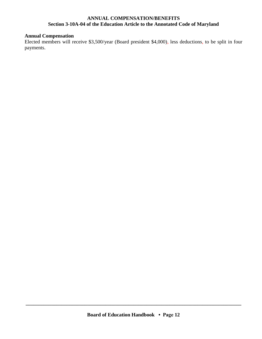#### **ANNUAL COMPENSATION/BENEFITS Section 3-10A-04 of the Education Article to the Annotated Code of Maryland**

## **Annual Compensation**

Elected members will receive \$3,500/year (Board president \$4,000), less deductions, to be split in four payments.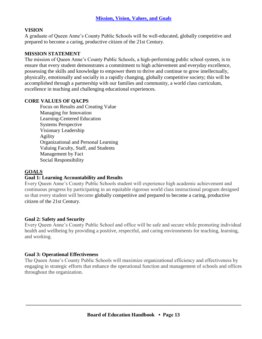## **VISION**

A graduate of Queen Anne's County Public Schools will be well-educated, globally competitive and prepared to become a caring, productive citizen of the 21st Century.

#### **MISSION STATEMENT**

The mission of Queen Anne's County Public Schools, a high-performing public school system, is to ensure that every student demonstrates a commitment to high achievement and everyday excellence, possessing the skills and knowledge to empower them to thrive and continue to grow intellectually, physically, emotionally and socially in a rapidly changing, globally competitive society; this will be accomplished through a partnership with our families and community, a world class curriculum, excellence in teaching and challenging educational experiences.

#### **CORE VALUES OF QACPS**

Focus on Results and Creating Value Managing for Innovation Learning-Centered Education Systems Perspective Visionary Leadership Agility Organizational and Personal Learning Valuing Faculty, Staff, and Students Management by Fact Social Responsibility

#### **GOALS**

#### **Goal 1: Learning Accountability and Results**

Every Queen Anne's County Public Schools student will experience high academic achievement and continuous progress by participating in an equitable rigorous world class instructional program designed so that every student will become globally competitive and prepared to become a caring, productive citizen of the 21st Century.

#### **Goal 2: Safety and Security**

Every Queen Anne's County Public School and office will be safe and secure while promoting individual health and wellbeing by providing a positive, respectful, and caring environments for teaching, learning, and working.

#### **Goal 3: Operational Effectiveness**

The Queen Anne's County Public Schools will maximize organizational efficiency and effectiveness by engaging in strategic efforts that enhance the operational function and management of schools and offices throughout the organization.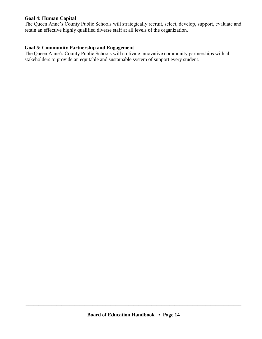#### **Goal 4: Human Capital**

The Queen Anne's County Public Schools will strategically recruit, select, develop, support, evaluate and retain an effective highly qualified diverse staff at all levels of the organization.

## **Goal 5: Community Partnership and Engagement**

The Queen Anne's County Public Schools will cultivate innovative community partnerships with all stakeholders to provide an equitable and sustainable system of support every student.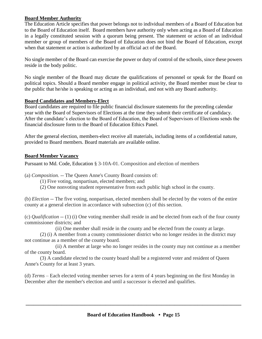#### **Board Member Authority**

The Education Article specifies that power belongs not to individual members of a Board of Education but to the Board of Education itself. Board members have authority only when acting as a Board of Education in a legally constituted session with a quorum being present. The statement or action of an individual member or group of members of the Board of Education does not bind the Board of Education, except when that statement or action is authorized by an official act of the Board.

No single member of the Board can exercise the power or duty of control of the schools, since these powers reside in the body politic.

No single member of the Board may dictate the qualifications of personnel or speak for the Board on political topics. Should a Board member engage in political activity, the Board member must be clear to the public that he/she is speaking or acting as an individual, and not with any Board authority.

#### **Board Candidates and Members-Elect**

Board candidates are required to file public financial disclosure statements for the preceding calendar year with the Board of Supervisors of Elections at the time they submit their certificate of candidacy. After the candidate's election to the Board of Education, the Board of Supervisors of Elections sends the financial disclosure form to the Board of Education Ethics Panel.

After the general election, members-elect receive all materials, including items of a confidential nature, provided to Board members. Board materials are available online.

#### **Board Member Vacancy**

Pursuant to Md. Code, Education § 3-10A-01. Composition and election of members

(a) *Composition. --* The Queen Anne's County Board consists of:

(1) Five voting, nonpartisan, elected members; and

(2) One nonvoting student representative from each public high school in the county.

(b) *Election* -- The five voting, nonpartisan, elected members shall be elected by the voters of the entire county at a general election in accordance with subsection (c) of this section.

(c) *Qualification* -- (1) (i) One voting member shall reside in and be elected from each of the four county commissioner districts; and

(ii) One member shall reside in the county and be elected from the county at large.

(2) (i) A member from a county commissioner district who no longer resides in the district may not continue as a member of the county board.

(ii) A member at large who no longer resides in the county may not continue as a member of the county board.

(3) A candidate elected to the county board shall be a registered voter and resident of Queen Anne's County for at least 3 years.

(d) *Terms* – Each elected voting member serves for a term of 4 years beginning on the first Monday in December after the member's election and until a successor is elected and qualifies.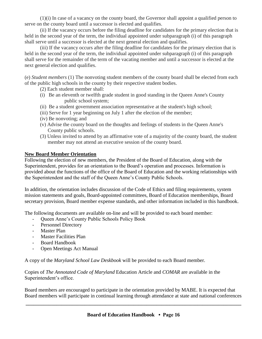(1)(i) In case of a vacancy on the county board, the Governor shall appoint a qualified person to serve on the county board until a successor is elected and qualifies.

(ii) If the vacancy occurs before the filing deadline for candidates for the primary election that is held in the second year of the term, the individual appointed under subparagraph (i) of this paragraph shall serve until a successor is elected at the next general election and qualifies.

(iii) If the vacancy occurs after the filing deadline for candidates for the primary election that is held in the second year of the term, the individual appointed under subparagraph (i) of this paragraph shall serve for the remainder of the term of the vacating member and until a successor is elected at the next general election and qualifies.

(e) *Student members* (1) The nonvoting student members of the county board shall be elected from each of the public high schools in the county by their respective student bodies.

- (2) Each student member shall:
- (i) Be an eleventh or twelfth grade student in good standing in the Queen Anne's County public school system;
- (ii) Be a student government association representative at the student's high school;
- (iii) Serve for 1 year beginning on July 1 after the election of the member;
- (iv) Be nonvoting; and
- (v) Advise the county board on the thoughts and feelings of students in the Queen Anne's County public schools.
- (3) Unless invited to attend by an affirmative vote of a majority of the county board, the student member may not attend an executive session of the county board.

## **New Board Member Orientation**

Following the election of new members, the President of the Board of Education, along with the Superintendent, provides for an orientation to the Board's operation and processes. Information is provided about the functions of the office of the Board of Education and the working relationships with the Superintendent and the staff of the Queen Anne's County Public Schools.

In addition, the orientation includes discussion of the Code of Ethics and filing requirements, system mission statements and goals, Board-appointed committees, Board of Education memberships, Board secretary provision, Board member expense standards, and other information included in this handbook.

The following documents are available on-line and will be provided to each board member:

- Queen Anne's County Public Schools Policy Book
- Personnel Directory
- Master Plan
- Master Facilities Plan
- Board Handbook
- Open Meetings Act Manual

A copy of the *Maryland School Law Deskbook* will be provided to each Board member.

Copies of *The Annotated Code of Maryland* Education Article and *COMAR* are available in the Superintendent's office.

Board members are encouraged to participate in the orientation provided by MABE. It is expected that Board members will participate in continual learning through attendance at state and national conferences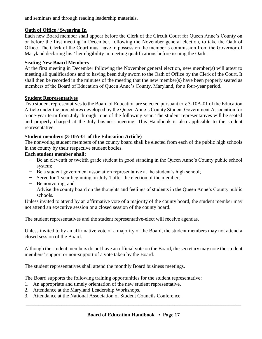and seminars and through reading leadership materials.

## **Oath of Office** */* **Swearing In**

Each new Board member shall appear before the Clerk of the Circuit Court for Queen Anne's County on or before the first meeting in December, following the November general election, to take the Oath of Office. The Clerk of the Court must have in possession the member's commission from the Governor of Maryland declaring his / her eligibility in meeting qualifications before issuing the Oath.

## **Seating New Board Members**

At the first meeting in December following the November general election, new member(s) will attest to meeting all qualifications and to having been duly sworn to the Oath of Office by the Clerk of the Court. It shall then be recorded in the minutes of the meeting that the new member(s) have been properly seated as members of the Board of Education of Queen Anne's County, Maryland, for a four-year period.

## **Student Representatives**

Two student representatives to the Board of Education are selected pursuant to § 3-10A-01 of the Education Article under the procedures developed by the Queen Anne's County Student Government Association for a one-year term from July through June of the following year. The student representatives will be seated and properly charged at the July business meeting. This Handbook is also applicable to the student representative.

## **Student members (3-10A-01 of the Education Article)**

The nonvoting student members of the county board shall be elected from each of the public high schools in the county by their respective student bodies.

## **Each student member shall:**

- − Be an eleventh or twelfth grade student in good standing in the Queen Anne's County public school system;
- − Be a student government association representative at the student's high school;
- − Serve for 1 year beginning on July 1 after the election of the member;
- − Be nonvoting; and
- − Advise the county board on the thoughts and feelings of students in the Queen Anne's County public schools.

Unless invited to attend by an affirmative vote of a majority of the county board, the student member may not attend an executive session or a closed session of the county board.

The student representatives and the student representative-elect will receive agendas.

Unless invited to by an affirmative vote of a majority of the Board, the student members may not attend a closed session of the Board.

Although the student members do not have an official vote on the Board, the secretary may note the student members' support or non-support of a vote taken by the Board.

The student representatives shall attend the monthly Board business meetings.

The Board supports the following training opportunities for the student representative:

- 1. An appropriate and timely orientation of the new student representative.
- 2. Attendance at the Maryland Leadership Workshops.
- 3. Attendance at the National Association of Student Councils Conference.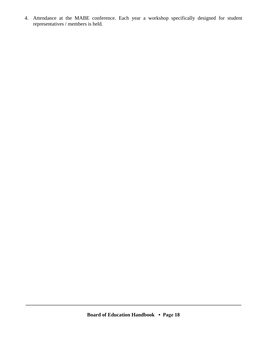4. Attendance at the MABE conference. Each year a workshop specifically designed for student representatives / members is held.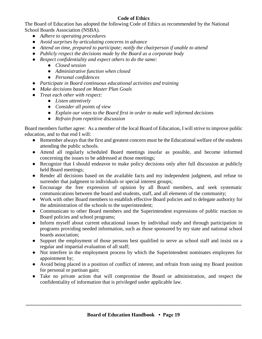## **Code of Ethics**

The Board of Education has adopted the following Code of Ethics as recommended by the National School Boards Association (NSBA).

- *Adhere to operating procedures*
- *Avoid surprises by articulating concerns in advance*
- *Attend on time, prepared to participate; notify the chairperson if unable to attend*
- *Publicly respect the decisions made by the Board as a corporate body*
- *Respect confidentiality and expect others to do the same:*
	- *Closed session*
	- *Administrative function when closed*
	- *Personal confidences*
- *Participate in Board continuous educational activities and training*
- *Make decisions based on Master Plan Goals*
- *Treat each other with respect:*
	- *Listen attentively*
	- *Consider all points of view*
	- *Explain our votes to the Board first in order to make well informed decisions*
	- *Refrain from repetitive discussion*

Board members further agree: As a member of the local Board of Education, I will strive to improve public education, and to that end I will:

- Remember always that the first and greatest concern must be the Educational welfare of the students attending the public schools.
- Attend all regularly scheduled Board meetings insofar as possible, and become informed concerning the issues to be addressed at those meetings;
- Recognize that I should endeavor to make policy decisions only after full discussion at publicly held Board meetings;
- Render all decisions based on the available facts and my independent judgment, and refuse to surrender that judgment to individuals or special interest groups:
- Encourage the free expression of opinion by all Board members, and seek systematic communications between the board and students, staff, and all elements of the community;
- Work with other Board members to establish effective Board policies and to delegate authority for the administration of the schools to the superintendent;
- Communicate to other Board members and the Superintendent expressions of public reaction to Board policies and school programs;
- Inform myself about current educational issues by individual study and through participation in programs providing needed information, such as those sponsored by my state and national school boards association;
- Support the employment of those persons best qualified to serve as school staff and insist on a regular and impartial evaluation of all staff;
- Not interfere in the employment process by which the Superintendent nominates employees for appointment by;
- Avoid being placed in a position of conflict of interest, and refrain from using my Board position for personal or partisan gain;
- Take no private action that will compromise the Board or administration, and respect the confidentiality of information that is privileged under applicable law.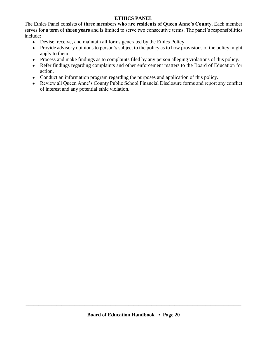#### **ETHICS PANEL**

The Ethics Panel consists of **three members who are residents of Queen Anne's County.** Each member serves for a term of **three years** and is limited to serve two consecutive terms. The panel's responsibilities include:

- Devise, receive, and maintain all forms generated by the Ethics Policy.
- Provide advisory opinions to person's subject to the policy as to how provisions of the policy might apply to them.
- Process and make findings as to complaints filed by any person alleging violations of this policy.
- Refer findings regarding complaints and other enforcement matters to the Board of Education for action.
- Conduct an information program regarding the purposes and application of this policy.
- Review all Queen Anne's County Public School Financial Disclosure forms and report any conflict of interest and any potential ethic violation.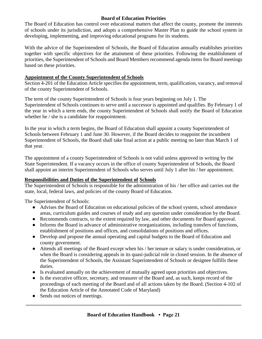#### **Board of Education Priorities**

The Board of Education has control over educational matters that affect the county, promote the interests of schools under its jurisdiction, and adopts a comprehensive Master Plan to guide the school system in developing, implementing, and improving educational programs for its students.

With the advice of the Superintendent of Schools, the Board of Education annually establishes priorities together with specific objectives for the attainment of these priorities. Following the establishment of priorities, the Superintendent of Schools and Board Members recommend agenda items for Board meetings based on these priorities.

#### **Appointment of the County Superintendent of Schools**

Section 4-201 of the Education Article specifies the appointment, term, qualification, vacancy, and removal of the county Superintendent of Schools.

The term of the county Superintendent of Schools is four years beginning on July 1. The Superintendent of Schools continues to serve until a successor is appointed and qualifies. By February 1 of the year in which a term ends, the county Superintendent of Schools shall notify the Board of Education whether he / she is a candidate for reappointment.

In the year in which a term begins, the Board of Education shall appoint a county Superintendent of Schools between February 1 and June 30. However, if the Board decides to reappoint the incumbent Superintendent of Schools, the Board shall take final action at a public meeting no later than March 1 of that year.

The appointment of a county Superintendent of Schools is not valid unless approved in writing by the State Superintendent. If a vacancy occurs in the office of county Superintendent of Schools, the Board shall appoint an interim Superintendent of Schools who serves until July 1 after his / her appointment.

#### **Responsibilities and Duties of the Superintendent of Schools**

The Superintendent of Schools is responsible for the administration of his / her office and carries out the state, local, federal laws, and policies of the county Board of Education.

The Superintendent of Schools:

- Advises the Board of Education on educational policies of the school system, school attendance areas, curriculum guides and courses of study and any question under consideration by the Board.
- Recommends contracts, to the extent required by law, and other documents for Board approval.
- Informs the Board in advance of administrative reorganizations, including transfers of functions, establishment of positions and offices, and consolidations of positions and offices.
- Develop and propose the annual operating and capital budgets to the Board of Education and county government.
- Attends all meetings of the Board except when his / her tenure or salary is under consideration, or when the Board is considering appeals in its quasi-judicial role in closed session. In the absence of the Superintendent of Schools, the Assistant Superintendent of Schools or designee fulfills these duties.
- Is evaluated annually on the achievement of mutually agreed upon priorities and objectives.
- Is the executive officer, secretary, and treasurer of the Board and, as such, keeps record of the proceedings of each meeting of the Board and of all actions taken by the Board. (Section 4-102 of the Education Article of the Annotated Code of Maryland)
- Sends out notices of meetings.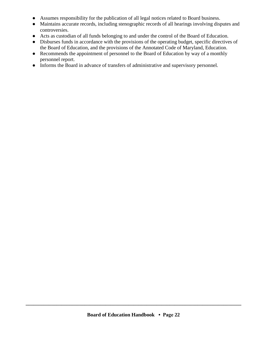- Assumes responsibility for the publication of all legal notices related to Board business.
- Maintains accurate records, including stenographic records of all hearings involving disputes and controversies.
- Acts as custodian of all funds belonging to and under the control of the Board of Education.
- Disburses funds in accordance with the provisions of the operating budget, specific directives of the Board of Education, and the provisions of the Annotated Code of Maryland, Education.
- Recommends the appointment of personnel to the Board of Education by way of a monthly personnel report.
- Informs the Board in advance of transfers of administrative and supervisory personnel.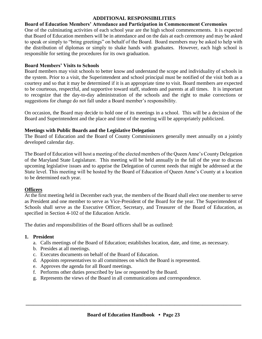#### **ADDITIONAL RESPONSIBILITIES**

#### **Board of Education Members' Attendance and Participation in Commencement Ceremonies**

One of the culminating activities of each school year are the high school commencements. It is expected that Board of Education members will be in attendance and on the dais at each ceremony and may be asked to speak or simply to "bring greetings" on behalf of the Board. Board members may be asked to help with the distribution of diplomas or simply to shake hands with graduates. However, each high school is responsible for setting the procedures for its own graduation.

#### **Board Members' Visits to Schools**

Board members may visit schools to better know and understand the scope and individuality of schools in the system. Prior to a visit, the Superintendent and school principal must be notified of the visit both as a courtesy and so that it may be determined if it is an appropriate time to visit. Board members are expected to be courteous, respectful, and supportive toward staff, students and parents at all times. It is important to recognize that the day-to-day administration of the schools and the right to make corrections or suggestions for change do not fall under a Board member's responsibility.

On occasion, the Board may decide to hold one of its meetings in a school. This will be a decision of the Board and Superintendent and the place and time of the meeting will be appropriately publicized.

#### **Meetings with Public Boards and the Legislative Delegation**

The Board of Education and the Board of County Commissioners generally meet annually on a jointly developed calendar day.

The Board of Education will host a meeting of the elected members of the Queen Anne's County Delegation of the Maryland State Legislature. This meeting will be held annually in the fall of the year to discuss upcoming legislative issues and to apprise the Delegation of current needs that might be addressed at the State level. This meeting will be hosted by the Board of Education of Queen Anne's County at a location to be determined each year.

#### **Officers**

At the first meeting held in December each year, the members of the Board shall elect one member to serve as President and one member to serve as Vice-President of the Board for the year. The Superintendent of Schools shall serve as the Executive Officer, Secretary, and Treasurer of the Board of Education, as specified in Section 4-102 of the Education Article.

The duties and responsibilities of the Board officers shall be as outlined:

#### **1. President**

- a. Calls meetings of the Board of Education; establishes location, date, and time, as necessary.
- b. Presides at all meetings.
- c. Executes documents on behalf of the Board of Education.
- d. Appoints representatives to all committees on which the Board is represented.
- e. Approves the agenda for all Board meetings.
- f. Performs other duties prescribed by law or requested by the Board.
- g. Represents the views of the Board in all communications and correspondence.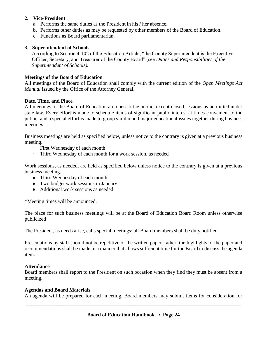#### **2. Vice-President**

- a. Performs the same duties as the President in his / her absence.
- b. Performs other duties as may be requested by other members of the Board of Education.
- c. Functions as Board parliamentarian.

#### **3. Superintendent of Schools**

According to Section 4-102 of the Education Article, "the County Superintendent is the Executive Officer, Secretary, and Treasurer of the County Board" (see *Duties and Responsibilities of the Superintendent of Schools).*

#### **Meetings of the Board of Education**

All meetings of the Board of Education shall comply with the current edition of the *Open Meetings Act Manual* issued by the Office of the Attorney General.

#### **Date, Time, and Place**

All meetings of the Board of Education are open to the public, except closed sessions as permitted under state law. Every effort is made to schedule items of significant public interest at times convenient to the public, and a special effort is made to group similar and major educational issues together during business meetings.

Business meetings are held as specified below, unless notice to the contrary is given at a previous business meeting.

- ∙ First Wednesday of each month
- ∙ Third Wednesday of each month for a work session, as needed

Work sessions, as needed, are held as specified below unless notice to the contrary is given at a previous business meeting.

- Third Wednesday of each month
- Two budget work sessions in January
- Additional work sessions as needed

\*Meeting times will be announced.

The place for such business meetings will be at the Board of Education Board Room unless otherwise publicized

The President, as needs arise, calls special meetings; all Board members shall be duly notified.

Presentations by staff should not be repetitive of the written paper; rather, the highlights of the paper and recommendations shall be made in a manner that allows sufficient time for the Board to discuss the agenda item.

#### **Attendance**

Board members shall report to the President on such occasion when they find they must be absent from a meeting.

#### **Agendas and Board Materials**

**\_\_\_\_\_\_\_\_\_\_\_\_\_\_\_\_\_\_\_\_\_\_\_\_\_\_\_\_\_\_\_\_\_\_\_\_\_\_\_\_\_\_\_\_\_\_\_\_\_\_\_\_\_\_\_\_\_\_\_\_\_\_\_\_\_\_\_\_\_\_\_\_\_\_\_\_\_\_\_\_\_\_\_\_** An agenda will be prepared for each meeting. Board members may submit items for consideration for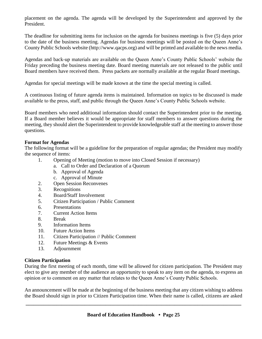placement on the agenda. The agenda will be developed by the Superintendent and approved by the President.

The deadline for submitting items for inclusion on the agenda for business meetings is five (5) days prior to the date of the business meeting. Agendas for business meetings will be posted on the Queen Anne's County Public Schools website (http://www.qacps.org) and will be printed and available to the news media.

Agendas and back-up materials are available on the Queen Anne's County Public Schools' website the Friday preceding the business meeting date. Board meeting materials are not released to the public until Board members have received them. Press packets are normally available at the regular Board meetings.

Agendas for special meetings will be made known at the time the special meeting is called.

A continuous listing of future agenda items is maintained. Information on topics to be discussed is made available to the press, staff, and public through the Queen Anne's County Public Schools website.

Board members who need additional information should contact the Superintendent prior to the meeting. If a Board member believes it would be appropriate for staff members to answer questions during the meeting, they should alert the Superintendent to provide knowledgeable staff at the meeting to answer those questions.

#### **Format for Agendas**

The following format will be a guideline for the preparation of regular agendas; the President may modify the sequence of items:

- 1. Opening of Meeting (motion to move into Closed Session if necessary)
	- a. Call to Order and Declaration of a Quorum
	- b. Approval of Agenda
	- c. Approval of Minute
- 2. Open Session Reconvenes
- 3. Recognitions
- 4. Board/Staff Involvement
- 5. Citizen Participation / Public Comment
- 6. Presentations
- 7. Current Action Items
- 8. Break
- 9. Information Items
- 10. Future Action Items
- 11. Citizen Participation // Public Comment
- 12. Future Meetings & Events
- 13. Adjournment

#### **Citizen Participation**

During the first meeting of each month, time will be allowed for citizen participation. The President may elect to give any member of the audience an opportunity to speak to any item on the agenda, to express an opinion or to comment on any matter that relates to the Queen Anne's County Public Schools.

An announcement will be made at the beginning of the business meeting that any citizen wishing to address the Board should sign in prior to Citizen Participation time. When their name is called, citizens are asked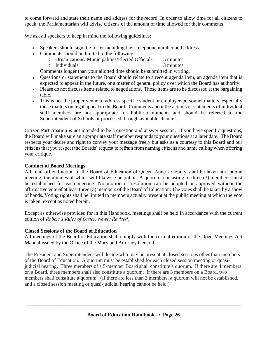to come forward and state their name and address for the record. In order to allow time for all citizens to speak, the Parliamentarian will advise citizens of the amount of time allowed for their comments.

We ask all speakers to keep in mind the following guidelines:

- Speakers should sign the roster including their telephone number and address.
- Comments should be limited to the following:
	- Organizations/ Municipalities/Elected Officials 5 minutes
	- Individuals 3 minutes

Comments longer than your allotted time should be submitted in writing.

- Questions or statements to the Board should relate to a recent agenda item, an agenda item that is expected to appear in the future, or a matter of general policy over which the Board has authority.
- Please do not discuss items related to negotiations. Those items are to be discussed at the bargaining table.
- This is not the proper venue to address specific student or employee personnel matters, especially those matters on legal appeal to the Board. Comments about the actions or statements of individual staff members are not appropriate for Public Comments and should be referred to the Superintendent of Schools or processed through available channels.

Citizen Participation is not intended to be a question and answer session. If you have specific questions, the Board will make sure an appropriate staff member responds to your questions at a later date. The Board respects your desire and right to convey your message freely but asks as a courtesy to this Board and our citizens that you respect the Boards' request to refrain from naming citizens and name calling when offering your critique.

## **Conduct of Board Meetings**

All final official action of the Board of Education of Queen Anne's County shall be taken at a public meeting, the minutes of which will likewise be public. A quorum, consisting of three (3) members, must be established for each meeting. No motion or resolution can be adopted or approved without the affirmative vote of at least three (3) members of the Board of Education. The votes shall be taken by a show of hands. Voting rights shall be limited to members actually present at the public meeting at which the vote is taken, except as noted herein.

Except as otherwise provided for in this Handbook, meetings shall be held in accordance with the current edition of *Robert's Rules of Order, Newly Revised.*

#### **Closed Sessions of the Board of Education**

All meetings of the Board of Education shall comply with the current edition of the Open Meetings Act Manual issued by the Office of the Maryland Attorney General.

The President and Superintendent will decide who may be present at closed sessions other than members of the Board of Education. A quorum must be established for each closed session meeting or quasijudicial hearing. Three members of a 5-member Board shall constitute a quorum. If there are 4 members on a Board, three members shall also constitute a quorum. If there are 3 members on a Board, two members shall constitute a quorum. (If there are less than 3 members, a quorum will not be established, and a closed session meeting or quasi-judicial hearing cannot be held.)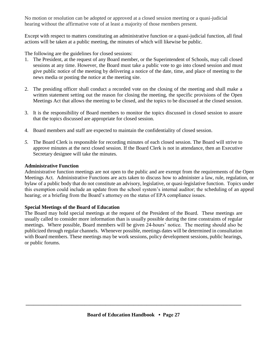No motion or resolution can be adopted or approved at a closed session meeting or a quasi-judicial hearing without the affirmative vote of at least a majority of those members present.

Except with respect to matters constituting an administrative function or a quasi-judicial function, all final actions will be taken at a public meeting, the minutes of which will likewise be public.

The following are the guidelines for closed sessions:

- 1. The President, at the request of any Board member, or the Superintendent of Schools, may call closed sessions at any time. However, the Board must take a public vote to go into closed session and must give public notice of the meeting by delivering a notice of the date, time, and place of meeting to the news media or posting the notice at the meeting site.
- 2. The presiding officer shall conduct a recorded vote on the closing of the meeting and shall make a written statement setting out the reason for closing the meeting, the specific provisions of the Open Meetings Act that allows the meeting to be closed, and the topics to be discussed at the closed session.
- 3. It is the responsibility of Board members to monitor the topics discussed in closed session to assure that the topics discussed are appropriate for closed session.
- 4. Board members and staff are expected to maintain the confidentiality of closed session.
- *5.* The Board Clerk is responsible for recording minutes of each closed session. The Board will strive to approve minutes at the next closed session. If the Board Clerk is not in attendance, then an Executive Secretary designee will take the minutes.

#### **Administrative Function**

Administrative function meetings are not open to the public and are exempt from the requirements of the Open Meetings Act. Administrative Functions are acts taken to discuss how to administer a law, rule, regulation, or bylaw of a public body that do not constitute an advisory, legislative, or quasi-legislative function. Topics under this exemption could include an update from the school system's internal auditor; the scheduling of an appeal hearing; or a briefing from the Board's attorney on the status of EPA compliance issues.

#### **Special Meetings of the Board of Education**

The Board may hold special meetings at the request of the President of the Board. These meetings are usually called to consider more information than is usually possible during the time constraints of regular meetings. Where possible, Board members will be given 24-hours' notice. The meeting should also be publicized through regular channels. Whenever possible, meetings dates will be determined in consultation with Board members. These meetings may be work sessions, policy development sessions, public hearings, or public forums.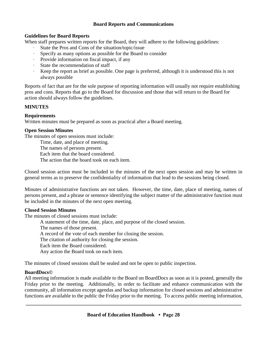#### **Board Reports and Communications**

#### **Guidelines for Board Reports**

When staff prepares written reports for the Board, they will adhere to the following guidelines:

- ∙ State the Pros and Cons of the situation/topic/issue
- ∙ Specify as many options as possible for the Board to consider
- ∙ Provide information on fiscal impact, if any
- ∙ State the recommendation of staff
- ∙ Keep the report as brief as possible. One page is preferred, although it is understood this is not always possible

Reports of fact that are for the sole purpose of reporting information will usually not require establishing pros and cons. Reports that go to the Board for discussion and those that will return to the Board for action should always follow the guidelines.

## **MINUTES**

## **Requirements**

Written minutes must be prepared as soon as practical after a Board meeting.

## **Open Session Minutes**

The minutes of open sessions must include:

Time, date, and place of meeting.

The names of persons present.

Each item that the board considered.

The action that the board took on each item.

Closed session action must be included in the minutes of the next open session and may be written in general terms as to preserve the confidentiality of information that lead to the sessions being closed.

Minutes of administrative functions are not taken. However, the time, date, place of meeting, names of persons present, and a phrase or sentence identifying the subject matter of the administrative function must be included in the minutes of the next open meeting.

#### **Closed Session Minutes**

The minutes of closed sessions must include:

A statement of the time, date, place, and purpose of the closed session.

The names of those present.

A record of the vote of each member for closing the session.

The citation of authority for closing the session.

Each item the Board considered.

Any action the Board took on each item.

The minutes of closed sessions shall be sealed and not be open to public inspection.

## **BoardDocs©**

All meeting information is made available to the Board on BoardDocs as soon as it is posted, generally the Friday prior to the meeting. Additionally, in order to facilitate and enhance communication with the community, all information except agendas and backup information for closed sessions and administrative functions are available to the public the Friday prior to the meeting. To access public meeting information,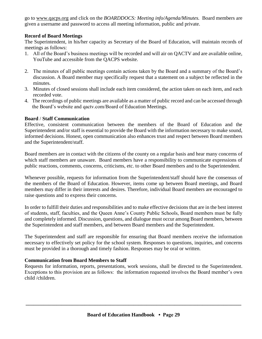go to www.qacps.org and click on the *BOARDDOCS: Meeting info/Agenda/Minutes.* Board members are given a username and password to access all meeting information, public and private.

## **Record of Board Meetings**

The Superintendent, in his/her capacity as Secretary of the Board of Education, will maintain records of meetings as follows:

- 1. All of the Board's business meetings will be recorded and will air on QACTV and are available online, YouTube and accessible from the QACPS website.
- 2. The minutes of all public meetings contain actions taken by the Board and a summary of the Board's discussion. A Board member may specifically request that a statement on a subject be reflected in the minutes.
- 3. Minutes of closed sessions shall include each item considered, the action taken on each item, and each recorded vote.
- 4. The recordings of public meetings are available as a matter of public record and can be accessed through the Board's website and qactv.com/Board of Education Meetings.

#### **Board** / **Staff Communication**

Effective, consistent communication between the members of the Board of Education and the Superintendent and/or staff is essential to provide the Board with the information necessary to make sound, informed decisions. Honest, open communication also enhances trust and respect between Board members and the Superintendent/staff.

Board members are in contact with the citizens of the county on a regular basis and hear many concerns of which staff members are unaware. Board members have a responsibility to communicate expressions of public reactions, comments, concerns, criticisms, etc. to other Board members and to the Superintendent.

Whenever possible, requests for information from the Superintendent/staff should have the consensus of the members of the Board of Education. However, items come up between Board meetings, and Board members may differ in their interests and desires. Therefore, individual Board members are encouraged to raise questions and to express their concerns.

In order to fulfill their duties and responsibilities and to make effective decisions that are in the best interest of students, staff, faculties, and the Queen Anne's County Public Schools, Board members must be fully and completely informed. Discussion, questions, and dialogue must occur among Board members, between the Superintendent and staff members, and between Board members and the Superintendent.

The Superintendent and staff are responsible for ensuring that Board members receive the information necessary to effectively set policy for the school system. Responses to questions, inquiries, and concerns must be provided in a thorough and timely fashion. Responses may be oral or written.

## **Communication from Board Members to Staff**

Requests for information, reports, presentations, work sessions, shall be directed to the Superintendent. Exceptions to this provision are as follows: the information requested involves the Board member's own child /children.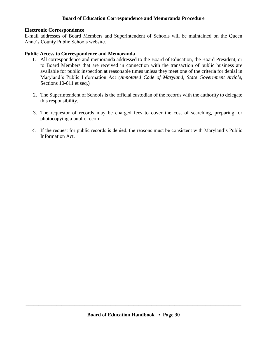#### **Board of Education Correspondence and Memoranda Procedure**

#### **Electronic Correspondence**

E-mail addresses of Board Members and Superintendent of Schools will be maintained on the Queen Anne's County Public Schools website.

#### **Public Access to Correspondence and Memoranda**

- 1. All correspondence and memoranda addressed to the Board of Education, the Board President, or to Board Members that are received in connection with the transaction of public business are available for public inspection at reasonable times unless they meet one of the criteria for denial in Maryland's Public Information Act *(Annotated Code of Maryland, State Government Article,*  Sections 10-611 et seq.)
- 2. The Superintendent of Schools is the official custodian of the records with the authority to delegate this responsibility.
- 3. The requestor of records may be charged fees to cover the cost of searching, preparing, or photocopying a public record.
- *4.* If the request for public records is denied, the reasons must be consistent with Maryland's Public Information Act.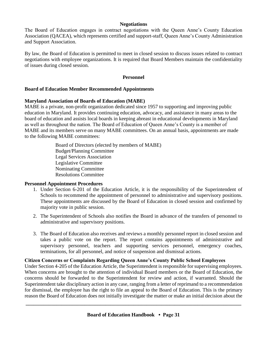#### **Negotiations**

The Board of Education engages in contract negotiations with the Queen Anne's County Education Association (QACEA), which represents certified and support-staff, Queen Anne's County Administration and Support Association.

By law, the Board of Education is permitted to meet in closed session to discuss issues related to contract negotiations with employee organizations. It is required that Board Members maintain the confidentiality of issues during closed session.

#### **Personnel**

#### **Board of Education Member Recommended Appointments**

#### **Maryland Association of Boards of Education (MABE)**

MABE is a private, non-profit organization dedicated since 1957 to supporting and improving public education in Maryland. It provides continuing education, advocacy, and assistance in many areas to the board of education and assists local boards in keeping abreast in educational developments in Maryland as well as throughout the nation. The Board of Education of Queen Anne's County is a member of MABE and its members serve on many MABE committees. On an annual basis, appointments are made to the following MABE committees:

> Board of Directors (elected by members of MABE) Budget/Planning Committee Legal Services Association Legislative Committee Nominating Committee Resolutions Committee

#### **Personnel Appointment Procedures**

- 1. Under Section 6-201 of the Education Article, it is the responsibility of the Superintendent of Schools to recommend the appointment of personnel to administrative and supervisory positions. These appointments are discussed by the Board of Education in closed session and confirmed by majority vote in public session.
- 2. The Superintendent of Schools also notifies the Board in advance of the transfers of personnel to administrative and supervisory positions.
- 3. The Board of Education also receives and reviews a monthly personnel report in closed session and takes a public vote on the report. The report contains appointments of administrative and supervisory personnel, teachers and supporting services personnel, emergency coaches, terminations, for all personnel, and notice of suspension and dismissal actions.

#### **Citizen Concerns or Complaints Regarding Queen Anne's County Public School Employees**

Under Section 4-205 of the Education Article, the Superintendent is responsible for supervising employees. When concerns are brought to the attention of individual Board members or the Board of Education, the concerns should be forwarded to the Superintendent for review and action, if warranted. Should the Superintendent take disciplinary action in any case, ranging from a letter of reprimand to a recommendation for dismissal, the employee has the right to file an appeal to the Board of Education. This is the primary reason the Board of Education does not initially investigate the matter or make an initial decision about the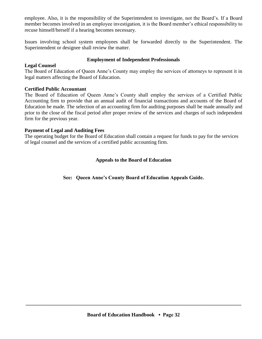employee. Also, it is the responsibility of the Superintendent to investigate, not the Board's. If a Board member becomes involved in an employee investigation, it is the Board member's ethical responsibility to recuse himself/herself if a hearing becomes necessary.

Issues involving school system employees shall be forwarded directly to the Superintendent. The Superintendent or designee shall review the matter.

#### **Employment of Independent Professionals**

#### **Legal Counsel**

The Board of Education of Queen Anne's County may employ the services of attorneys to represent it in legal matters affecting the Board of Education.

## **Certified Public Accountant**

The Board of Education of Queen Anne's County shall employ the services of a Certified Public Accounting firm to provide that an annual audit of financial transactions and accounts of the Board of Education be made. The selection of an accounting firm for auditing purposes shall be made annually and prior to the close of the fiscal period after proper review of the services and charges of such independent firm for the previous year.

## **Payment of Legal and Auditing Fees**

The operating budget for the Board of Education shall contain a request for funds to pay for the services of legal counsel and the services of a certified public accounting firm.

## **Appeals to the Board of Education**

**See: Queen Anne's County Board of Education Appeals Guide.**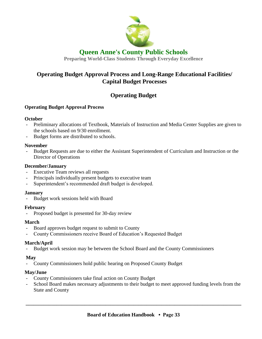

## **Queen Anne's County Public Schools**

**Preparing World-Class Students Through Everyday Excellence**

## **Operating Budget Approval Process and Long-Range Educational Facilities/ Capital Budget Processes**

## **Operating Budget**

## **Operating Budget Approval Process**

#### **October**

- Preliminary allocations of Textbook, Materials of Instruction and Media Center Supplies are given to the schools based on 9/30 enrollment.
- Budget forms are distributed to schools.

## **November**

- Budget Requests are due to either the Assistant Superintendent of Curriculum and Instruction or the Director of Operations

## **December/January**

- Executive Team reviews all requests
- Principals individually present budgets to executive team
- Superintendent's recommended draft budget is developed.

## **January**

Budget work sessions held with Board

## **February**

- Proposed budget is presented for 30-day review

## **March**

- Board approves budget request to submit to County
- County Commissioners receive Board of Education's Requested Budget

## **March/April**

Budget work session may be between the School Board and the County Commissioners

## **May**

- County Commissioners hold public hearing on Proposed County Budget

## **May/June**

- County Commissioners take final action on County Budget
- School Board makes necessary adjustments to their budget to meet approved funding levels from the State and County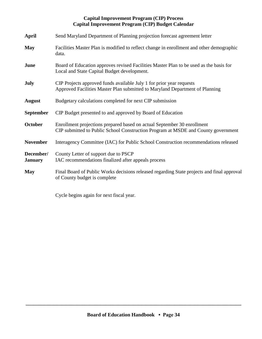#### **Capital Improvement Program (CIP) Process Capital Improvement Program (CIP) Budget Calendar**

| <b>April</b>                | Send Maryland Department of Planning projection forecast agreement letter                                                                                    |
|-----------------------------|--------------------------------------------------------------------------------------------------------------------------------------------------------------|
| <b>May</b>                  | Facilities Master Plan is modified to reflect change in enrollment and other demographic<br>data.                                                            |
| June                        | Board of Education approves revised Facilities Master Plan to be used as the basis for<br>Local and State Capital Budget development.                        |
| <b>July</b>                 | CIP Projects approved funds available July 1 for prior year requests<br>Approved Facilities Master Plan submitted to Maryland Department of Planning         |
| <b>August</b>               | Budgetary calculations completed for next CIP submission                                                                                                     |
| <b>September</b>            | CIP Budget presented to and approved by Board of Education                                                                                                   |
| October                     | Enrollment projections prepared based on actual September 30 enrollment<br>CIP submitted to Public School Construction Program at MSDE and County government |
| <b>November</b>             | Interagency Committee (IAC) for Public School Construction recommendations released                                                                          |
| December/<br><b>January</b> | County Letter of support due to PSCP<br>IAC recommendations finalized after appeals process                                                                  |
| <b>May</b>                  | Final Board of Public Works decisions released regarding State projects and final approval<br>of County budget is complete                                   |

Cycle begins again for next fiscal year.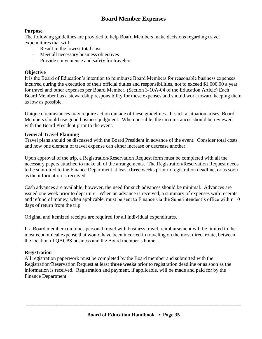## **Board Member Expenses**

#### **Purpose**

The following guidelines are provided to help Board Members make decisions regarding travel expenditures that will:

- Result in the lowest total cost
- Meet all necessary business objectives
- Provide convenience and safety for travelers

## **Objective**

It is the Board of Education's intention to reimburse Board Members for reasonable business expenses incurred during the execution of their official duties and responsibilities, not to exceed \$1,000.00 a year for travel and other expenses per Board Member. (Section 3-10A-04 of the Education Article) Each Board Member has a stewardship responsibility for these expenses and should work toward keeping them as low as possible.

Unique circumstances may require action outside of these guidelines. If such a situation arises, Board Members should use good business judgment. When possible, the circumstances should be reviewed with the Board President prior to the event.

#### **General Travel Planning**

Travel plans should be discussed with the Board President in advance of the event. Consider total costs and how one element of travel expense can either increase or decrease another.

Upon approval of the trip, a Registration/Reservation Request form must be completed with all the necessary papers attached to make all of the arrangements. The Registration/Reservation Request needs to be submitted to the Finance Department at least **three** weeks prior to registration deadline, or as soon as the information is received.

Cash advances are available; however, the need for such advances should be minimal. Advances are issued one week prior to departure. When an advance is received, a summary of expenses with receipts and refund of money, when applicable, must be sent to Finance via the Superintendent's office within 10 days of return from the trip.

Original and itemized receipts are required for all individual expenditures.

If a Board member combines personal travel with business travel, reimbursement will be limited to the most economical expense that would have been incurred in traveling on the most direct route, between the location of QACPS business and the Board member's home.

#### **Registration**

All registration paperwork must be completed by the Board member and submitted with the Registration/Reservation Request at least **three weeks** prior to registration deadline or as soon as the information is received. Registration and payment, if applicable, will be made and paid for by the Finance Department.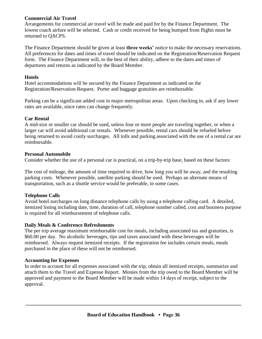#### **Commercial Air Travel**

Arrangements for commercial air travel will be made and paid for by the Finance Department. The lowest coach airfare will be selected. Cash or credit received for being bumped from flights must be returned to QACPS.

The Finance Department should be given at least **three weeks'** notice to make the necessary reservations. All preferences for dates and times of travel should be indicated on the Registration/Reservation Request form. The Finance Department will, to the best of their ability, adhere to the dates and times of departures and returns as indicated by the Board Member.

## **Hotels**

Hotel accommodations will be secured by the Finance Department as indicated on the Registration/Reservation Request. Porter and baggage gratuities are reimbursable.

Parking can be a significant added cost in major metropolitan areas. Upon checking in, ask if any lower rates are available, since rates can change frequently.

## **Car Rental**

A mid-size or smaller car should be used, unless four or more people are traveling together, or when a larger car will avoid additional car rentals. Whenever possible, rental cars should be refueled before being returned to avoid costly surcharges. All tolls and parking associated with the use of a rental car are reimbursable.

## **Personal Automobile**

Consider whether the use of a personal car is practical, on a trip-by-trip base, based on these factors:

The cost of mileage, the amount of time required to drive, how long you will be away, and the resulting parking costs. Whenever possible, satellite parking should be used. Perhaps an alternate means of transportation, such as a shuttle service would be preferable, in some cases.

## **Telephone Calls**

Avoid hotel surcharges on long distance telephone calls by using a telephone calling card. A detailed, itemized listing including date, time, duration of call, telephone number called, cost and business purpose is required for all reimbursement of telephone calls.

## **Daily Meals & Conference Refreshments**

The per trip average maximum reimbursable cost for meals, including associated tax and gratuities, is \$60.00 per day. No alcoholic beverages, tips and taxes associated with these beverages will be reimbursed. Always request itemized receipts. If the registration fee includes certain meals, meals purchased in the place of these will not be reimbursed.

## **Accounting for Expenses**

In order to account for all expenses associated with the trip, obtain all itemized receipts, summarize and attach them to the Travel and Expense Report. Monies from the trip owed to the Board Member will be approved and payment to the Board Member will be made within 14 days of receipt, subject to the approval.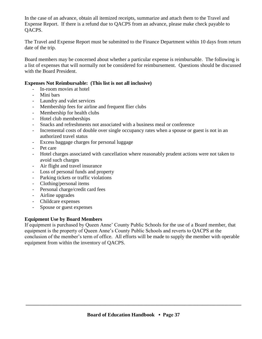In the case of an advance, obtain all itemized receipts, summarize and attach them to the Travel and Expense Report. If there is a refund due to QACPS from an advance, please make check payable to QACPS.

The Travel and Expense Report must be submitted to the Finance Department within 10 days from return date of the trip.

Board members may be concerned about whether a particular expense is reimbursable. The following is a list of expenses that will normally not be considered for reimbursement. Questions should be discussed with the Board President.

#### **Expenses Not Reimbursable: (This list is not all inclusive)**

- In-room movies at hotel
- Mini bars
- Laundry and valet services
- Membership fees for airline and frequent flier clubs
- Membership for health clubs
- Hotel club memberships
- Snacks and refreshments not associated with a business meal or conference
- Incremental costs of double over single occupancy rates when a spouse or guest is not in an authorized travel status
- Excess baggage charges for personal luggage
- Pet care
- Hotel charges associated with cancellation where reasonably prudent actions were not taken to avoid such charges
- Air flight and travel insurance
- Loss of personal funds and property
- Parking tickets or traffic violations
- Clothing/personal items
- Personal charge/credit card fees
- Airline upgrades
- Childcare expenses
- Spouse or guest expenses

## **Equipment Use by Board Members**

If equipment is purchased by Queen Anne' County Public Schools for the use of a Board member, that equipment is the property of Queen Anne's County Public Schools and reverts to QACPS at the conclusion of the member's term of office. All efforts will be made to supply the member with operable equipment from within the inventory of QACPS.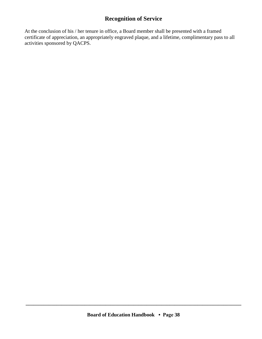## **Recognition of Service**

At the conclusion of his / her tenure in office, a Board member shall be presented with a framed certificate of appreciation, an appropriately engraved plaque, and a lifetime, complimentary pass to all activities sponsored by QACPS.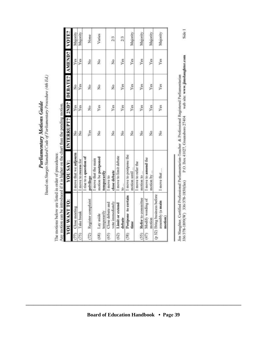Based on Sturgis Standard Code of Parliamentary Procedure (4th Ed.) Parliamentary Motions Guide

 $\overline{a}$ The motions below are listed in order of precedence.

|                | YOU WANT TO:                                               | YOU SAY:                                                   | INTERRUPT? 2ND? DEBATE? AMEND? VOTE? |     |               |               |          |
|----------------|------------------------------------------------------------|------------------------------------------------------------|--------------------------------------|-----|---------------|---------------|----------|
| $\mathbb{Z}^n$ | Close meeting                                              | I move that we adjourn                                     | ž                                    | Yes | ż             | Yes           | Majority |
| (75)           | Take break                                                 | I move to recess for                                       | ž                                    | Yes | Yes           | Yes           | Majority |
| (72)           | Register complaint                                         | I rise to a question of<br>privilege                       | Yes                                  | Σô  | ž             | ż             | None     |
| (68)           | temporarily<br>Lay aside                                   | motion be postponed<br>I move that the main<br>temporarily | $\frac{6}{2}$                        | Yes | $\frac{1}{2}$ | $\frac{6}{2}$ | Varies   |
| (65)           | vote immediately<br>Close debate and                       | close debate<br>I move to                                  | ž                                    | Yes | ż             | ż             | 2/3      |
| (62)           | Limit or extend<br>debate                                  | I move to limit debate<br>10                               | ž                                    | Yes | Yes           | Yes           | 2/3      |
| (58)           | Postpone to certain<br>time                                | I move to postpone the<br>motion until                     | ž                                    | Yes | Yes           | Yes           | Majority |
| (55)           | Refer to committee                                         | I move to refer the<br>motion to                           | ž                                    | Yes | Yes           | Yes           | Majority |
| (47)           | Modify wording of<br>motion                                | I move to amend the<br>motion by                           | ž                                    | Yes | Yes           | Yes           | Majority |
|                | (p 32) Bring business before<br>assembly (a main<br>motion | I move that                                                | ż                                    | Yes | Yes           | Yes           | Majority |

web site: www.jimslaughter.com Jim Slaughter, Certified Professional Parliamentarian-Teacher & Professional Registered Parliamentarian<br>336/378-1899(W) 336/378-1850(fax) P.O. Box 41027, Greensboro 27404 web site: www.jimshu

Side 1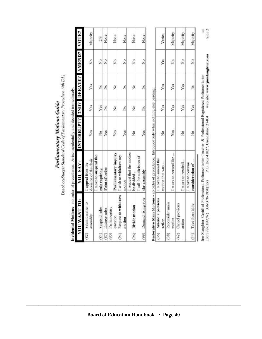Based on Sturgis Standard Code of Parliamentary Procedure (4th Ed.) Parliamentary Motions Guide

|      | YOU WANT TO:                  | YOU SAY:                                 | INTERRUPT? 2ND? DEBATE? AMEND? |               |               |               | VOTE?    |
|------|-------------------------------|------------------------------------------|--------------------------------|---------------|---------------|---------------|----------|
| (82) | Submit matter to<br>assembly  | decision of the chair<br>appeal from the | Yes                            | Yes           | Yes           | ź             | Majority |
| (84) | Suspend rules                 | I move to suspend the<br>rule requiring  | $\frac{1}{2}$                  | Yes           | $\frac{1}{2}$ | $\frac{1}{2}$ | 2/3      |
| (S7) | Enforce rules                 | Point of order                           | Yes                            | $\frac{6}{2}$ | Σo            | ž             | None     |
| (90) | Parliamentary<br>question     | Parliamentary inquiry                    | Yes                            | ž             | ž             | ž             | None     |
| (94) | Request to withdraw<br>motion | I wish to withdraw my<br>motion          | Yes                            | ż             | ż             | ż             | None     |
|      | (96) Divide motion            | I request that the motion<br>be divided  | ž                              | $\frac{1}{2}$ | $\frac{1}{2}$ | ž             | None     |
|      | (99) Demand rising vote       | I call for a division of<br>the assembly | Yes                            | $\frac{6}{2}$ | ż             | ż             | None     |

Incidental Motions - no order of precedence. Arise incidentally and decided immediately.

| (36) Amend a previous | move to amend the                 |               |     |      |               |          |
|-----------------------|-----------------------------------|---------------|-----|------|---------------|----------|
| rction                | totion that was                   | $\frac{6}{2}$ | Yes | Yes: | Yes           | Varies   |
| econsider main        |                                   |               |     |      |               |          |
| notion                | move to reconsider                | <b>Yes</b>    | Yes | Yes  | $\frac{6}{2}$ | daiority |
| ancel previous        |                                   |               |     |      |               |          |
| action                | move to rescine                   | $\frac{5}{2}$ | Yes | Yes  | $\frac{6}{2}$ | Majority |
| (44) Take from table  | move to resume<br>onsideration of | ş             | Yes | ş    | ş             | Majority |
|                       |                                   |               |     |      |               |          |

web site: www.jimslaughter.com Jim Slaughter, Certified Professional Parliamentarian-Teacher & Professional Registered Parliamentarian<br>336/378-1899(W) 336/378-1850(fax) P.O. Box 41027, Greensboro 27404 web site: www.jimsla

**Board of Education Handbook • Page 40** 

Side 2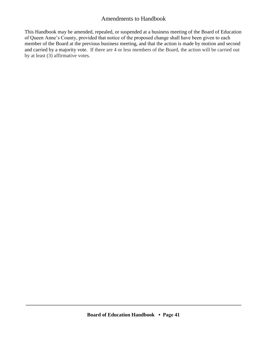## Amendments to Handbook

This Handbook may be amended, repealed, or suspended at a business meeting of the Board of Education of Queen Anne's County, provided that notice of the proposed change shall have been given to each member of the Board at the previous business meeting, and that the action is made by motion and second and carried by a majority vote. If there are 4 or less members of the Board, the action will be carried out by at least (3) affirmative votes.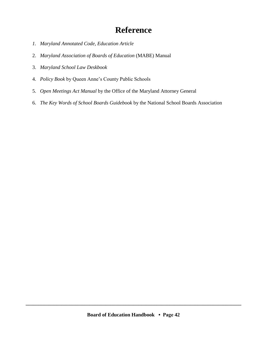# **Reference**

- *1. Maryland Annotated Code, Education Article*
- 2. *Maryland Association of Boards of Education* (MABE) Manual
- 3. *Maryland School Law Deskbook*
- 4. *Policy Book* by Queen Anne's County Public Schools
- 5. *Open Meetings Act Manual* by the Office of the Maryland Attorney General
- 6. *The Key Words of School Boards Guidebook* by the National School Boards Association